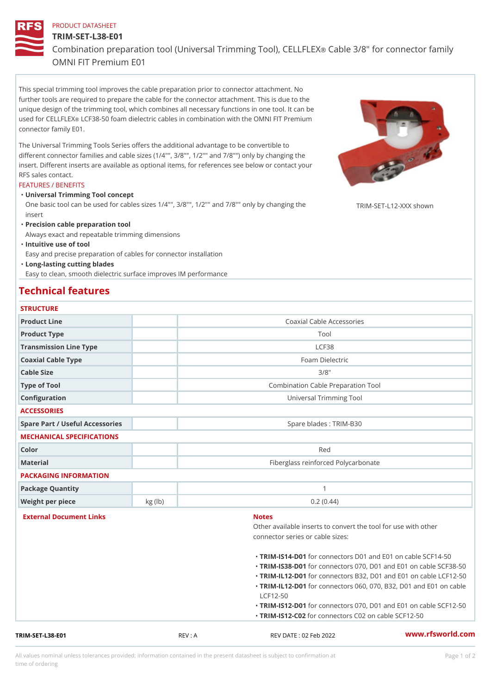# PRODUCT DATASHEET TRIM-SET-L38-E01 Combination preparation tool (Universal Triom 60 arby)e T3068"), foc Ebb Fibe 6Xtor f OMNI FIT Premium E01

This special trimming tool improves the cable preparation prior to connector attachment. No further tools are required to prepare the cable for the connector attachment. This is due to the unique design of the trimming tool, which combines all necessary functions in one tool. It can be used for CEbLLFCE38-50 foam dielectric cables in combination with the OMNI FIT Premium connector family E01.

The Universal Trimming Tools Series offers the additional advantage to be convertible to different connector families and cable sizes (1/4"", 3/8"", 1/2"" and 7/8"") only by changing the insert. Different inserts are available as optional items, for references see below or contact your RFS sales contact.

### FEATURES / BENEFITS

Universal Trimming Tool concept "

One basic tool can be used for cables sizes 1/4"", 3/8"", 1/2"" and 7/8†RpMlgppvcphangykng shown insert

"Precision cable preparation tool

Always exact and repeatable trimming dimensions

"Intuitive use of tool

Easy and precise preparation of cables for connector installation

Long-lasting cutting blades "

Easy to clean, smooth dielectric surface improves IM performance

## Technical features

| <b>STRUCTURE</b> |  |  |  |  |
|------------------|--|--|--|--|
|                  |  |  |  |  |

| TRIM-SET-L38-E01          | REV: A                                                     | REV DATE : 02 Feb 2022                                                                                 | www.rfsworld.co |  |  |
|---------------------------|------------------------------------------------------------|--------------------------------------------------------------------------------------------------------|-----------------|--|--|
|                           |                                                            | "TRIM-IS12f602connectors C02 on cable SCF12-50                                                         |                 |  |  |
|                           |                                                            | "TRIM-IS12-fD01connectors 070, D01 and E01 on ca                                                       |                 |  |  |
|                           |                                                            | $LCF12-50$                                                                                             |                 |  |  |
|                           |                                                            | "TRIM-IL12-fDo01connectors B32, D01 and E01 on ca<br>"TRIM-IL12-fDoO1connectors 060, 070, B32, D01 and |                 |  |  |
|                           |                                                            | "TRIM-IS38-fD01connectors 070, D01 and E01 on ca                                                       |                 |  |  |
|                           |                                                            | "TRIM-IS14-fD01connectors D01 and E01 on cable \$                                                      |                 |  |  |
|                           |                                                            |                                                                                                        |                 |  |  |
|                           |                                                            | connector series or cable sizes:                                                                       |                 |  |  |
| External Document Links   |                                                            | <b>Notes</b><br>Other available inserts to convert the tool for use                                    |                 |  |  |
|                           |                                                            |                                                                                                        |                 |  |  |
| Weight per piece          | kg (lb)                                                    | 0.2(0.44)                                                                                              |                 |  |  |
| Package Quantity          |                                                            | $\mathbf{1}$                                                                                           |                 |  |  |
| PACKAGING INFORMATION     |                                                            |                                                                                                        |                 |  |  |
| Material                  |                                                            | Fiberglass reinforced Polycarbonate                                                                    |                 |  |  |
| Color                     |                                                            | Red                                                                                                    |                 |  |  |
| MECHANICAL SPECIFICATIONS |                                                            |                                                                                                        |                 |  |  |
|                           | Spare Part / Useful Accessories<br>Spare blades : TRIM-B30 |                                                                                                        |                 |  |  |
| <b>ACCESSORIES</b>        |                                                            |                                                                                                        |                 |  |  |
| Configuration             |                                                            | Universal Trimming Tool                                                                                |                 |  |  |
| Type of Tool              |                                                            | Combination Cable Preparation Tool                                                                     |                 |  |  |
| Cable Size                |                                                            | 3/8"                                                                                                   |                 |  |  |
| Coaxial Cable Type        |                                                            | Foam Dielectric                                                                                        |                 |  |  |
| Transmission Line Type    |                                                            | LCF38                                                                                                  |                 |  |  |
| Product Type              |                                                            | Tool                                                                                                   |                 |  |  |
| Product Line              |                                                            | Coaxial Cable Accessories                                                                              |                 |  |  |

All values nominal unless tolerances provided; information contained in the present datasheet is subject to Pcapgeign manation time of ordering